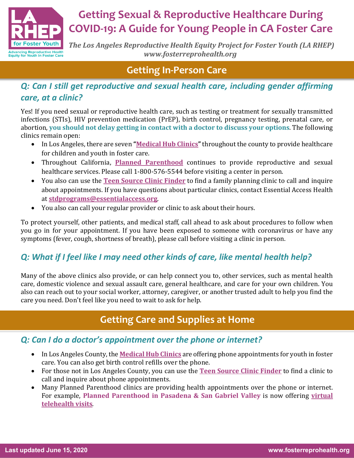

# **Getting Sexual & Reproductive Healthcare During COVID-19: A Guide for Young People in CA Foster Care**

**The Los Angeles Reproductive Health Equity Project for Foster Youth (LA RHEP)** *www.fosterreprohealth.org*

## **Getting In-Person Care**

### *Q: Can I still get reproductive and sexual health care, including gender affirming care, at a clinic?*

Yes! If you need sexual or reproductive health care, such as testing or treatment for sexually transmitted infections (STIs), HIV prevention medication (PrEP), birth control, pregnancy testing, prenatal care, or abortion, you should not delay getting in contact with a doctor to discuss your options. The following clinics remain open:

- In Los Angeles, there are seven "**Medical Hub Clinics**" throughout the county to provide healthcare for children and youth in foster care.
- Throughout California, **Planned Parenthood** continues to provide reproductive and sexual healthcare services. Please call 1-800-576-5544 before visiting a center in person.
- You also can use the **Teen Source Clinic Finder** to find a family planning clinic to call and inquire about appointments. If you have questions about particular clinics, contact Essential Access Health at **stdprograms@essentialaccess.org**.
- You also can call your regular provider or clinic to ask about their hours.

To protect yourself, other patients, and medical staff, call ahead to ask about procedures to follow when you go in for your appointment. If you have been exposed to someone with coronavirus or have any symptoms (fever, cough, shortness of breath), please call before visiting a clinic in person.

## *Q: What if I feel like I may need other kinds of care, like mental health help?*

Many of the above clinics also provide, or can help connect you to, other services, such as mental health care, domestic violence and sexual assault care, general healthcare, and care for your own children. You also can reach out to your social worker, attorney, caregiver, or another trusted adult to help you find the care you need. Don't feel like you need to wait to ask for help.

## **Getting Care and Supplies at Home**

#### *Q: Can I do a doctor's appointment over the phone or internet?*

- In Los Angeles County, the **Medical Hub Clinics** are offering phone appointments for youth in foster care. You can also get birth control refills over the phone.
- For those not in Los Angeles County, you can use the **Teen Source Clinic Finder** to find a clinic to call and inquire about phone appointments.
- Many Planned Parenthood clinics are providing health appointments over the phone or internet. For example, **Planned Parenthood in Pasadena & San Gabriel Valley** is now offering virtual **telehealth visits**.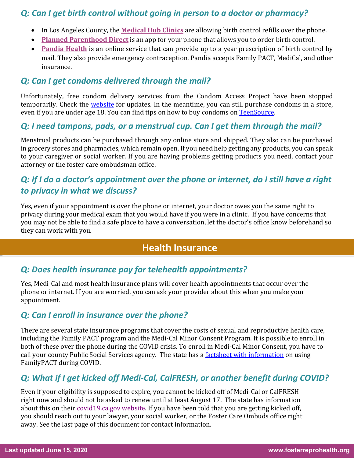#### *Q: Can I get birth control without going in person to a doctor or pharmacy?*

- In Los Angeles County, the **Medical Hub Clinics** are allowing birth control refills over the phone.
- **Planned Parenthood Direct** is an app for your phone that allows you to order birth control.
- **Pandia Health** is an online service that can provide up to a year prescription of birth control by mail. They also provide emergency contraception. Pandia accepts Family PACT, MediCal, and other insurance.

#### *Q: Can I get condoms delivered through the mail?*

Unfortunately, free condom delivery services from the Condom Access Project have been stopped temporarily. Check the website for updates. In the meantime, you can still purchase condoms in a store, even if you are under age 18. You can find tips on how to buy condoms on TeenSource.

#### *Q: I need tampons, pads, or a menstrual cup. Can I get them through the mail?*

Menstrual products can be purchased through any online store and shipped. They also can be purchased in grocery stores and pharmacies, which remain open. If you need help getting any products, you can speak to your caregiver or social worker. If you are having problems getting products you need, contact your attorney or the foster care ombudsman office.

#### *Q: If I do a doctor's appointment over the phone or internet, do I still have a right to privacy in what we discuss?*

Yes, even if your appointment is over the phone or internet, your doctor owes you the same right to privacy during your medical exam that you would have if you were in a clinic. If you have concerns that you may not be able to find a safe place to have a conversation, let the doctor's office know beforehand so they can work with you.

#### **Health Insurance**

#### *Q: Does health insurance pay for telehealth appointments?*

Yes, Medi-Cal and most health insurance plans will cover health appointments that occur over the phone or internet. If you are worried, you can ask your provider about this when you make your appointment.

#### *Q: Can I enroll in insurance over the phone?*

There are several state insurance programs that cover the costs of sexual and reproductive health care, including the Family PACT program and the Medi-Cal Minor Consent Program. It is possible to enroll in both of these over the phone during the COVID crisis. To enroll in Medi-Cal Minor Consent, you have to call your county Public Social Services agency. The state has a factsheet with information on using FamilyPACT during COVID.

#### *Q: What if I get kicked off Medi-Cal, CalFRESH, or another benefit during COVID?*

Even if your eligibility is supposed to expire, you cannot be kicked off of Medi-Cal or CalFRESH right now and should not be asked to renew until at least August 17. The state has information about this on their covid19.ca.gov website. If you have been told that you are getting kicked off, you should reach out to your lawyer, your social worker, or the Foster Care Ombuds office right away. See the last page of this document for contact information.